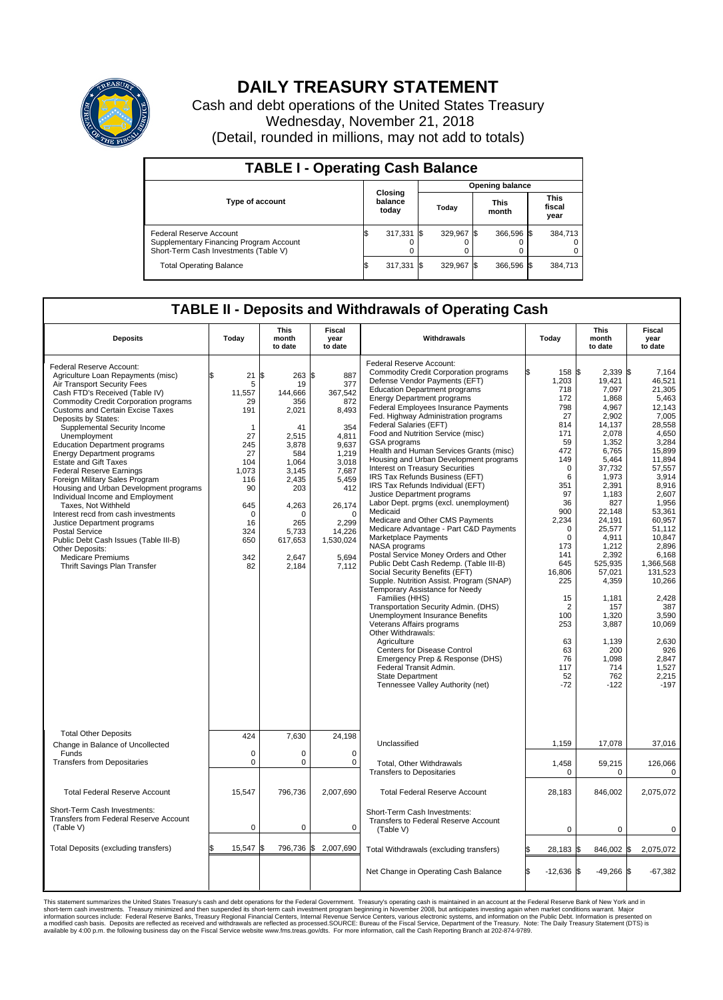

## **DAILY TREASURY STATEMENT**

Cash and debt operations of the United States Treasury Wednesday, November 21, 2018 (Detail, rounded in millions, may not add to totals)

| <b>TABLE I - Operating Cash Balance</b>                                                                            |     |                             |  |                        |  |                      |  |                               |  |  |  |
|--------------------------------------------------------------------------------------------------------------------|-----|-----------------------------|--|------------------------|--|----------------------|--|-------------------------------|--|--|--|
|                                                                                                                    |     |                             |  | <b>Opening balance</b> |  |                      |  |                               |  |  |  |
| <b>Type of account</b>                                                                                             |     | Closing<br>balance<br>today |  | Today                  |  | <b>This</b><br>month |  | <b>This</b><br>fiscal<br>year |  |  |  |
| <b>Federal Reserve Account</b><br>Supplementary Financing Program Account<br>Short-Term Cash Investments (Table V) |     | 317,331                     |  | 329.967 \$             |  | 366,596 \$           |  | 384,713                       |  |  |  |
| <b>Total Operating Balance</b>                                                                                     | I\$ | 317,331                     |  | 329,967                |  | 366,596 \$           |  | 384,713                       |  |  |  |

## **TABLE II - Deposits and Withdrawals of Operating Cash**

| <b>Deposits</b>                                                                                                                                                                                                                                                                                                                                                                                                                                                                                                                                                                                                                                                                                                                                                                                          | Today                                                                                                                                            | This<br>month<br>to date                                                                                                                                                    | Fiscal<br>year<br>to date                                                                                                                                                            | Withdrawals                                                                                                                                                                                                                                                                                                                                                                                                                                                                                                                                                                                                                                                                                                                                                                                                                                                                                                                                                                                                                                                                                                                                                                                                                                                                                 | Today                                                                                                                                                                                                                                                                                 | <b>This</b><br>month<br>to date                                                                                                                                                                                                                                                                                              | <b>Fiscal</b><br>year<br>to date                                                                                                                                                                                                                                                                                                        |
|----------------------------------------------------------------------------------------------------------------------------------------------------------------------------------------------------------------------------------------------------------------------------------------------------------------------------------------------------------------------------------------------------------------------------------------------------------------------------------------------------------------------------------------------------------------------------------------------------------------------------------------------------------------------------------------------------------------------------------------------------------------------------------------------------------|--------------------------------------------------------------------------------------------------------------------------------------------------|-----------------------------------------------------------------------------------------------------------------------------------------------------------------------------|--------------------------------------------------------------------------------------------------------------------------------------------------------------------------------------|---------------------------------------------------------------------------------------------------------------------------------------------------------------------------------------------------------------------------------------------------------------------------------------------------------------------------------------------------------------------------------------------------------------------------------------------------------------------------------------------------------------------------------------------------------------------------------------------------------------------------------------------------------------------------------------------------------------------------------------------------------------------------------------------------------------------------------------------------------------------------------------------------------------------------------------------------------------------------------------------------------------------------------------------------------------------------------------------------------------------------------------------------------------------------------------------------------------------------------------------------------------------------------------------|---------------------------------------------------------------------------------------------------------------------------------------------------------------------------------------------------------------------------------------------------------------------------------------|------------------------------------------------------------------------------------------------------------------------------------------------------------------------------------------------------------------------------------------------------------------------------------------------------------------------------|-----------------------------------------------------------------------------------------------------------------------------------------------------------------------------------------------------------------------------------------------------------------------------------------------------------------------------------------|
| Federal Reserve Account:<br>Agriculture Loan Repayments (misc)<br>Air Transport Security Fees<br>Cash FTD's Received (Table IV)<br><b>Commodity Credit Corporation programs</b><br><b>Customs and Certain Excise Taxes</b><br>Deposits by States:<br>Supplemental Security Income<br>Unemployment<br><b>Education Department programs</b><br><b>Energy Department programs</b><br><b>Estate and Gift Taxes</b><br><b>Federal Reserve Earnings</b><br>Foreign Military Sales Program<br>Housing and Urban Development programs<br>Individual Income and Employment<br>Taxes, Not Withheld<br>Interest recd from cash investments<br>Justice Department programs<br>Postal Service<br>Public Debt Cash Issues (Table III-B)<br>Other Deposits:<br><b>Medicare Premiums</b><br>Thrift Savings Plan Transfer | \$<br>21<br>5<br>11,557<br>29<br>191<br>1<br>27<br>245<br>27<br>104<br>1,073<br>116<br>90<br>645<br>$\mathbf 0$<br>16<br>324<br>650<br>342<br>82 | $263$ \$<br>\$<br>19<br>144,666<br>356<br>2,021<br>41<br>2,515<br>3,878<br>584<br>1.064<br>3,145<br>2,435<br>203<br>4,263<br>O<br>265<br>5,733<br>617,653<br>2,647<br>2,184 | 887<br>377<br>367,542<br>872<br>8,493<br>354<br>4,811<br>9.637<br>1.219<br>3.018<br>7,687<br>5,459<br>412<br>26,174<br>$\mathbf 0$<br>2,299<br>14,226<br>1,530,024<br>5,694<br>7,112 | Federal Reserve Account:<br><b>Commodity Credit Corporation programs</b><br>Defense Vendor Payments (EFT)<br><b>Education Department programs</b><br><b>Energy Department programs</b><br>Federal Employees Insurance Payments<br>Fed. Highway Administration programs<br>Federal Salaries (EFT)<br>Food and Nutrition Service (misc)<br>GSA programs<br>Health and Human Services Grants (misc)<br>Housing and Urban Development programs<br>Interest on Treasury Securities<br>IRS Tax Refunds Business (EFT)<br>IRS Tax Refunds Individual (EFT)<br>Justice Department programs<br>Labor Dept. prgms (excl. unemployment)<br>Medicaid<br>Medicare and Other CMS Payments<br>Medicare Advantage - Part C&D Payments<br>Marketplace Payments<br>NASA programs<br>Postal Service Money Orders and Other<br>Public Debt Cash Redemp. (Table III-B)<br>Social Security Benefits (EFT)<br>Supple. Nutrition Assist. Program (SNAP)<br>Temporary Assistance for Needy<br>Families (HHS)<br>Transportation Security Admin. (DHS)<br>Unemployment Insurance Benefits<br>Veterans Affairs programs<br>Other Withdrawals:<br>Agriculture<br>Centers for Disease Control<br>Emergency Prep & Response (DHS)<br>Federal Transit Admin.<br><b>State Department</b><br>Tennessee Valley Authority (net) | 158 \$<br>1,203<br>718<br>172<br>798<br>27<br>814<br>171<br>59<br>472<br>149<br>$\mathbf 0$<br>6<br>351<br>97<br>36<br>900<br>2,234<br>$\mathbf 0$<br>$\mathbf 0$<br>173<br>141<br>645<br>16,806<br>225<br>15<br>$\overline{2}$<br>100<br>253<br>63<br>63<br>76<br>117<br>52<br>$-72$ | $2,339$ \$<br>19,421<br>7,097<br>1,868<br>4,967<br>2,902<br>14,137<br>2.078<br>1,352<br>6,765<br>5,464<br>37,732<br>1,973<br>2,391<br>1.183<br>827<br>22,148<br>24,191<br>25,577<br>4,911<br>1,212<br>2,392<br>525,935<br>57,021<br>4,359<br>1,181<br>157<br>1.320<br>3,887<br>1,139<br>200<br>1,098<br>714<br>762<br>$-122$ | 7,164<br>46,521<br>21.305<br>5,463<br>12,143<br>7,005<br>28,558<br>4.650<br>3,284<br>15,899<br>11,894<br>57,557<br>3,914<br>8,916<br>2.607<br>1,956<br>53,361<br>60,957<br>51,112<br>10,847<br>2.896<br>6,168<br>1,366,568<br>131.523<br>10,266<br>2,428<br>387<br>3.590<br>10,069<br>2,630<br>926<br>2,847<br>1,527<br>2,215<br>$-197$ |
| <b>Total Other Deposits</b><br>Change in Balance of Uncollected                                                                                                                                                                                                                                                                                                                                                                                                                                                                                                                                                                                                                                                                                                                                          | 424                                                                                                                                              | 7,630                                                                                                                                                                       | 24,198                                                                                                                                                                               | Unclassified                                                                                                                                                                                                                                                                                                                                                                                                                                                                                                                                                                                                                                                                                                                                                                                                                                                                                                                                                                                                                                                                                                                                                                                                                                                                                | 1,159                                                                                                                                                                                                                                                                                 | 17,078                                                                                                                                                                                                                                                                                                                       | 37,016                                                                                                                                                                                                                                                                                                                                  |
| Funds<br><b>Transfers from Depositaries</b>                                                                                                                                                                                                                                                                                                                                                                                                                                                                                                                                                                                                                                                                                                                                                              | $\mathbf 0$<br>$\mathbf 0$                                                                                                                       | 0<br>0                                                                                                                                                                      | $\mathbf 0$<br>$\mathbf 0$                                                                                                                                                           | Total, Other Withdrawals<br><b>Transfers to Depositaries</b>                                                                                                                                                                                                                                                                                                                                                                                                                                                                                                                                                                                                                                                                                                                                                                                                                                                                                                                                                                                                                                                                                                                                                                                                                                | 1,458<br>0                                                                                                                                                                                                                                                                            | 59,215<br>0                                                                                                                                                                                                                                                                                                                  | 126,066<br>0                                                                                                                                                                                                                                                                                                                            |
| <b>Total Federal Reserve Account</b>                                                                                                                                                                                                                                                                                                                                                                                                                                                                                                                                                                                                                                                                                                                                                                     | 15,547                                                                                                                                           | 796,736                                                                                                                                                                     | 2,007,690                                                                                                                                                                            | <b>Total Federal Reserve Account</b>                                                                                                                                                                                                                                                                                                                                                                                                                                                                                                                                                                                                                                                                                                                                                                                                                                                                                                                                                                                                                                                                                                                                                                                                                                                        | 28.183                                                                                                                                                                                                                                                                                | 846,002                                                                                                                                                                                                                                                                                                                      | 2,075,072                                                                                                                                                                                                                                                                                                                               |
| Short-Term Cash Investments:<br><b>Transfers from Federal Reserve Account</b><br>(Table V)                                                                                                                                                                                                                                                                                                                                                                                                                                                                                                                                                                                                                                                                                                               | $\mathbf 0$                                                                                                                                      | 0                                                                                                                                                                           | 0                                                                                                                                                                                    | Short-Term Cash Investments:<br>Transfers to Federal Reserve Account<br>(Table V)                                                                                                                                                                                                                                                                                                                                                                                                                                                                                                                                                                                                                                                                                                                                                                                                                                                                                                                                                                                                                                                                                                                                                                                                           | $\mathbf 0$                                                                                                                                                                                                                                                                           | 0                                                                                                                                                                                                                                                                                                                            | 0                                                                                                                                                                                                                                                                                                                                       |
| Total Deposits (excluding transfers)                                                                                                                                                                                                                                                                                                                                                                                                                                                                                                                                                                                                                                                                                                                                                                     | 15.547                                                                                                                                           | 796,736 \$<br>\$                                                                                                                                                            | 2,007,690                                                                                                                                                                            | Total Withdrawals (excluding transfers)                                                                                                                                                                                                                                                                                                                                                                                                                                                                                                                                                                                                                                                                                                                                                                                                                                                                                                                                                                                                                                                                                                                                                                                                                                                     | 28,183 \$                                                                                                                                                                                                                                                                             | 846,002 \$                                                                                                                                                                                                                                                                                                                   | 2,075,072                                                                                                                                                                                                                                                                                                                               |
|                                                                                                                                                                                                                                                                                                                                                                                                                                                                                                                                                                                                                                                                                                                                                                                                          |                                                                                                                                                  |                                                                                                                                                                             |                                                                                                                                                                                      | Net Change in Operating Cash Balance                                                                                                                                                                                                                                                                                                                                                                                                                                                                                                                                                                                                                                                                                                                                                                                                                                                                                                                                                                                                                                                                                                                                                                                                                                                        | l\$<br>$-12,636$ \$                                                                                                                                                                                                                                                                   | $-49,266$ \$                                                                                                                                                                                                                                                                                                                 | $-67,382$                                                                                                                                                                                                                                                                                                                               |

This statement summarizes the United States Treasury's cash and debt operations for the Federal Government. Treasury operating in November 2008, but anticinates investing again when market conditions warrant. Major York an